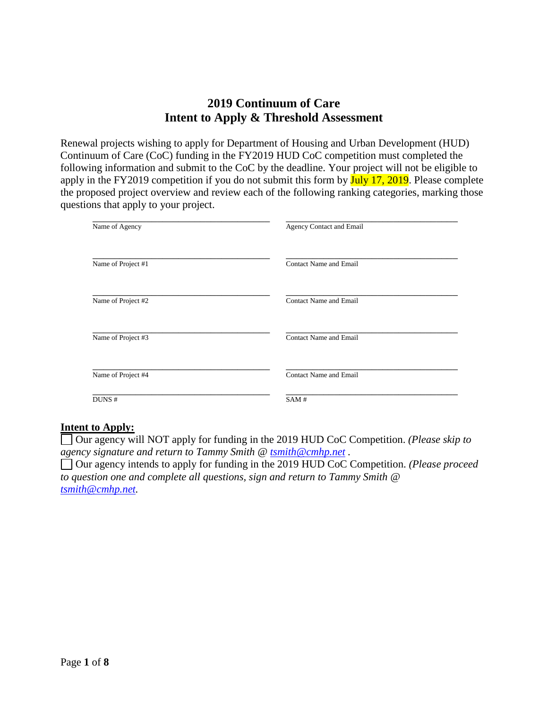# **2019 Continuum of Care Intent to Apply & Threshold Assessment**

Renewal projects wishing to apply for Department of Housing and Urban Development (HUD) Continuum of Care (CoC) funding in the FY2019 HUD CoC competition must completed the following information and submit to the CoC by the deadline. Your project will not be eligible to apply in the FY2019 competition if you do not submit this form by July 17, 2019. Please complete the proposed project overview and review each of the following ranking categories, marking those questions that apply to your project.

| Name of Agency     | Agency Contact and Email      |
|--------------------|-------------------------------|
| Name of Project #1 | <b>Contact Name and Email</b> |
| Name of Project #2 | <b>Contact Name and Email</b> |
| Name of Project #3 | <b>Contact Name and Email</b> |
| Name of Project #4 | <b>Contact Name and Email</b> |
| DUNS #             | SAM#                          |

### **Intent to Apply:**

Our agency will NOT apply for funding in the 2019 HUD CoC Competition. *(Please skip to agency signature and return to Tammy Smith @ [tsmith@cmhp.net](mailto:tsmith@cmhp.net) .*

Our agency intends to apply for funding in the 2019 HUD CoC Competition. *(Please proceed to question one and complete all questions, sign and return to Tammy Smith @ [tsmith@cmhp.net.](mailto:tsmith@cmhp.net)*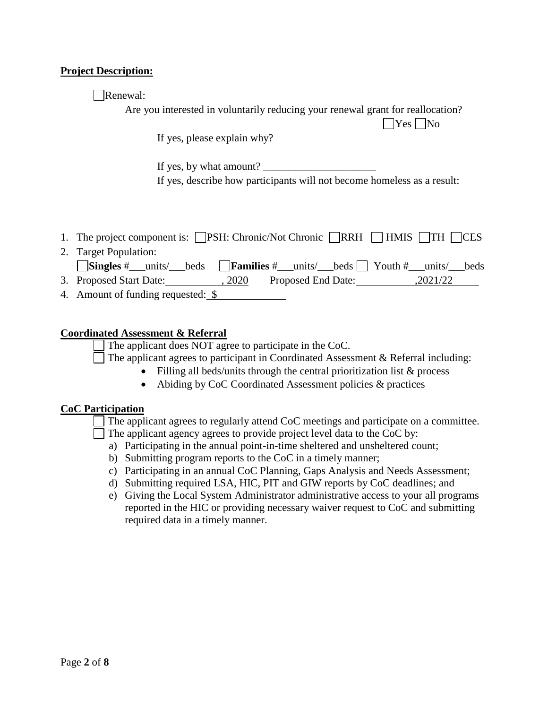### **Project Description:**

Renewal:

Are you interested in voluntarily reducing your renewal grant for reallocation?

 $\Box$ Yes  $\Box$ No

If yes, please explain why?

If yes, by what amount? If yes, describe how participants will not become homeless as a result:

|  |  | 1. The project component is: □PSH: Chronic/Not Chronic □RRH □ HMIS □TH □CES |  |  |  |  |
|--|--|-----------------------------------------------------------------------------|--|--|--|--|
|--|--|-----------------------------------------------------------------------------|--|--|--|--|

| 2. Target Population:                                                                                                                         |        |                    |          |  |
|-----------------------------------------------------------------------------------------------------------------------------------------------|--------|--------------------|----------|--|
| $\sqrt{\frac{1}{\text{Singles}\#}}$ units/ beds $\sqrt{\frac{1}{\text{Familys}\#}}$ units/ beds $\sqrt{\frac{1}{\text{Youth}\#}}$ units/ beds |        |                    |          |  |
| 3. Proposed Start Date:                                                                                                                       | , 2020 | Proposed End Date: | ,2021/22 |  |

4. Amount of funding requested: \$

### **Coordinated Assessment & Referral**

The applicant does NOT agree to participate in the CoC.

The applicant agrees to participant in Coordinated Assessment & Referral including:

- Filling all beds/units through the central prioritization list & process
- Abiding by CoC Coordinated Assessment policies & practices

### **CoC Participation**

The applicant agrees to regularly attend CoC meetings and participate on a committee.

- The applicant agency agrees to provide project level data to the CoC by:
	- a) Participating in the annual point-in-time sheltered and unsheltered count;
	- b) Submitting program reports to the CoC in a timely manner;
	- c) Participating in an annual CoC Planning, Gaps Analysis and Needs Assessment;
	- d) Submitting required LSA, HIC, PIT and GIW reports by CoC deadlines; and
	- e) Giving the Local System Administrator administrative access to your all programs reported in the HIC or providing necessary waiver request to CoC and submitting required data in a timely manner.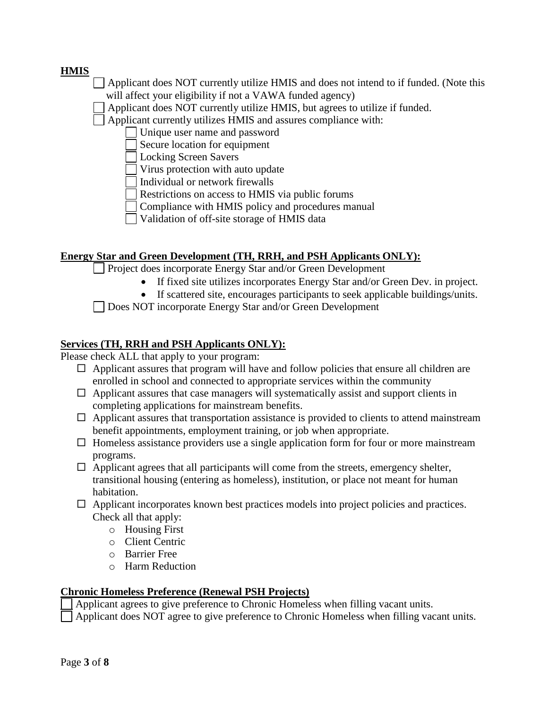## **HMIS**

- Applicant does NOT currently utilize HMIS and does not intend to if funded. (Note this will affect your eligibility if not a VAWA funded agency)
- Applicant does NOT currently utilize HMIS, but agrees to utilize if funded.

Applicant currently utilizes HMIS and assures compliance with:

- Unique user name and password
- Secure location for equipment
- Locking Screen Savers
- Virus protection with auto update
- Individual or network firewalls
- Restrictions on access to HMIS via public forums
- Compliance with HMIS policy and procedures manual
- Validation of off-site storage of HMIS data

### **Energy Star and Green Development (TH, RRH, and PSH Applicants ONLY):**

**Project does incorporate Energy Star and/or Green Development** 

- If fixed site utilizes incorporates Energy Star and/or Green Dev. in project.
- If scattered site, encourages participants to seek applicable buildings/units.

Does NOT incorporate Energy Star and/or Green Development

# **Services (TH, RRH and PSH Applicants ONLY):**

Please check ALL that apply to your program:

- $\Box$  Applicant assures that program will have and follow policies that ensure all children are enrolled in school and connected to appropriate services within the community
- $\Box$  Applicant assures that case managers will systematically assist and support clients in completing applications for mainstream benefits.
- $\Box$  Applicant assures that transportation assistance is provided to clients to attend mainstream benefit appointments, employment training, or job when appropriate.
- $\Box$  Homeless assistance providers use a single application form for four or more mainstream programs.
- $\Box$  Applicant agrees that all participants will come from the streets, emergency shelter, transitional housing (entering as homeless), institution, or place not meant for human habitation.
- $\Box$  Applicant incorporates known best practices models into project policies and practices. Check all that apply:
	- o Housing First
	- o Client Centric
	- o Barrier Free
	- o Harm Reduction

### **Chronic Homeless Preference (Renewal PSH Projects)**

Applicant agrees to give preference to Chronic Homeless when filling vacant units.

Applicant does NOT agree to give preference to Chronic Homeless when filling vacant units.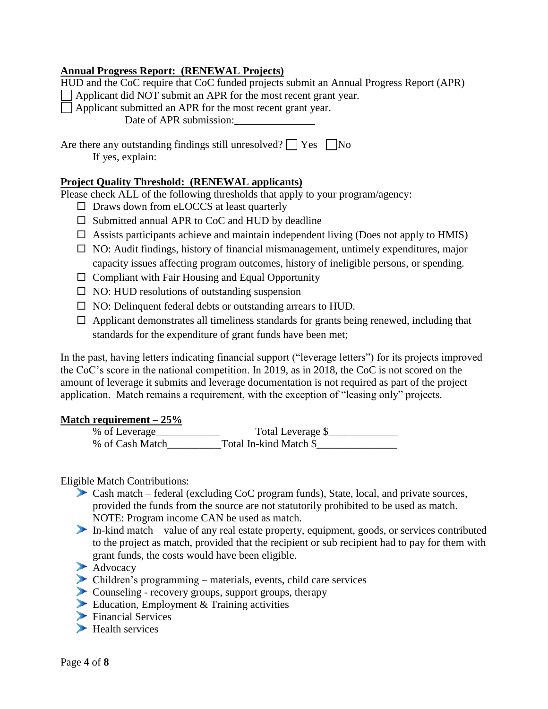### **Annual Progress Report: (RENEWAL Projects)**

| HUD and the CoC require that CoC funded projects submit an Annual Progress Report (APR)       |
|-----------------------------------------------------------------------------------------------|
| $\Box$ Applicant did NOT submit an APR for the most recent grant year.                        |
| $\Box$ Applicant submitted an APR for the most recent grant year.                             |
| Date of APR submission:                                                                       |
| Are there any outstanding findings still unresolved? $\Box$ Yes $\Box$ No<br>If yes, explain: |

## **Project Quality Threshold: (RENEWAL applicants)**

Please check ALL of the following thresholds that apply to your program/agency:

- $\square$  Draws down from eLOCCS at least quarterly
- $\square$  Submitted annual APR to CoC and HUD by deadline
- $\Box$  Assists participants achieve and maintain independent living (Does not apply to HMIS)
- $\square$  NO: Audit findings, history of financial mismanagement, untimely expenditures, major capacity issues affecting program outcomes, history of ineligible persons, or spending.
- $\Box$  Compliant with Fair Housing and Equal Opportunity
- $\Box$  NO: HUD resolutions of outstanding suspension
- $\Box$  NO: Delinquent federal debts or outstanding arrears to HUD.
- $\Box$  Applicant demonstrates all timeliness standards for grants being renewed, including that standards for the expenditure of grant funds have been met;

In the past, having letters indicating financial support ("leverage letters") for its projects improved the CoC's score in the national competition. In 2019, as in 2018, the CoC is not scored on the amount of leverage it submits and leverage documentation is not required as part of the project application. Match remains a requirement, with the exception of "leasing only" projects.

### **Match requirement – 25%**

| % of Leverage   | Total Leverage \$      |
|-----------------|------------------------|
| % of Cash Match | Total In-kind Match \$ |

Eligible Match Contributions:

- Cash match federal (excluding CoC program funds), State, local, and private sources, provided the funds from the source are not statutorily prohibited to be used as match. NOTE: Program income CAN be used as match.
- In-kind match value of any real estate property, equipment, goods, or services contributed to the project as match, provided that the recipient or sub recipient had to pay for them with grant funds, the costs would have been eligible.
- Advocacy
- Children's programming materials, events, child care services
- Counseling recovery groups, support groups, therapy
- Education, Employment & Training activities
- Financial Services
- $\blacktriangleright$  Health services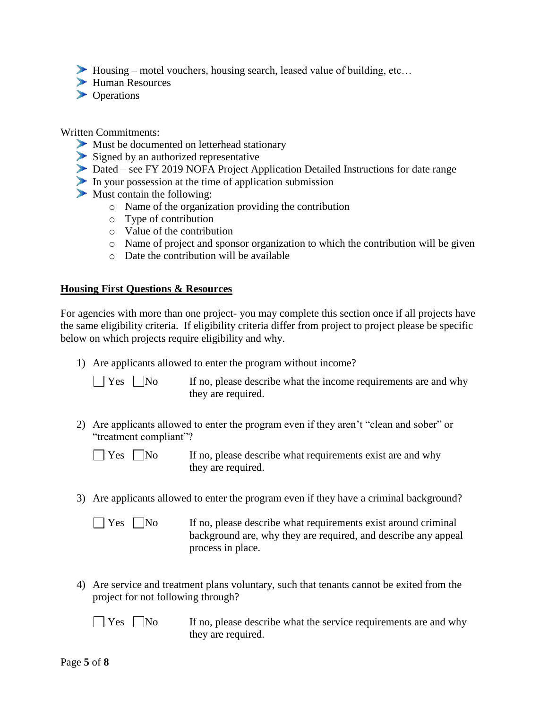$\blacktriangleright$  Housing – motel vouchers, housing search, leased value of building, etc...

- Human Resources
- **Departions**

#### Written Commitments:

- Must be documented on letterhead stationary
- Signed by an authorized representative
- Dated see FY 2019 NOFA Project Application Detailed Instructions for date range
- In your possession at the time of application submission
- $\blacktriangleright$  Must contain the following:
	- o Name of the organization providing the contribution
	- o Type of contribution
	- o Value of the contribution
	- o Name of project and sponsor organization to which the contribution will be given
	- o Date the contribution will be available

### **Housing First Questions & Resources**

For agencies with more than one project- you may complete this section once if all projects have the same eligibility criteria. If eligibility criteria differ from project to project please be specific below on which projects require eligibility and why.

1) Are applicants allowed to enter the program without income?

 $\Box$  Yes  $\Box$  No If no, please describe what the income requirements are and why they are required.

2) Are applicants allowed to enter the program even if they aren't "clean and sober" or "treatment compliant"?

 $\Box$  Yes  $\Box$  No If no, please describe what requirements exist are and why they are required.

- 3) Are applicants allowed to enter the program even if they have a criminal background?
	-

 $\Box$  Yes  $\Box$  No If no, please describe what requirements exist around criminal background are, why they are required, and describe any appeal process in place.

4) Are service and treatment plans voluntary, such that tenants cannot be exited from the project for not following through?

| $\Box$ Yes $\Box$ No | If no, please describe what the service requirements are and why |
|----------------------|------------------------------------------------------------------|
|                      | they are required.                                               |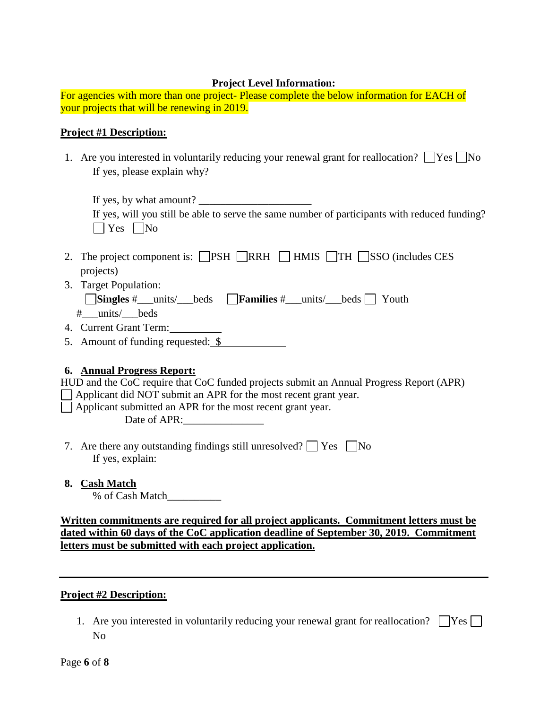### **Project Level Information:**

For agencies with more than one project- Please complete the below information for EACH of your projects that will be renewing in 2019.

### **Project #1 Description:**

1. Are you interested in voluntarily reducing your renewal grant for reallocation?  $\Box$  Yes  $\Box$  No If yes, please explain why?

| If yes, by what amount?                                                                       |
|-----------------------------------------------------------------------------------------------|
| If yes, will you still be able to serve the same number of participants with reduced funding? |
| $\Box$ Yes $\Box$ No                                                                          |

- 2. The project component is:  $\Box$ PSH  $\Box$ RRH  $\Box$  HMIS  $\Box$ TH  $\Box$ SSO (includes CES projects)
- 3. Target Population:

|  |  |  | <b>Singles #</b> __units/ __beds <b>Families #</b> __units/ __beds Youth |  |  |  |
|--|--|--|--------------------------------------------------------------------------|--|--|--|
|--|--|--|--------------------------------------------------------------------------|--|--|--|

- #\_\_\_units/\_\_\_beds
- 4. Current Grant Term:
- 5. Amount of funding requested: \$

## **6. Annual Progress Report:**

| HUD and the CoC require that CoC funded projects submit an Annual Progress Report (APR) |
|-----------------------------------------------------------------------------------------|
| $\Box$ Applicant did NOT submit an APR for the most recent grant year.                  |
| $\Box$ Applicant submitted an APR for the most recent grant year.                       |
| Date of APR:                                                                            |
|                                                                                         |
|                                                                                         |

- 7. Are there any outstanding findings still unresolved?  $\Box$  Yes  $\Box$  No If yes, explain:
- **8. Cash Match**

% of Cash Match\_\_\_\_\_\_\_\_\_\_

**Written commitments are required for all project applicants. Commitment letters must be dated within 60 days of the CoC application deadline of September 30, 2019. Commitment letters must be submitted with each project application.** 

### **Project #2 Description:**

1. Are you interested in voluntarily reducing your renewal grant for reallocation?  $\Box$ Yes  $\Box$ No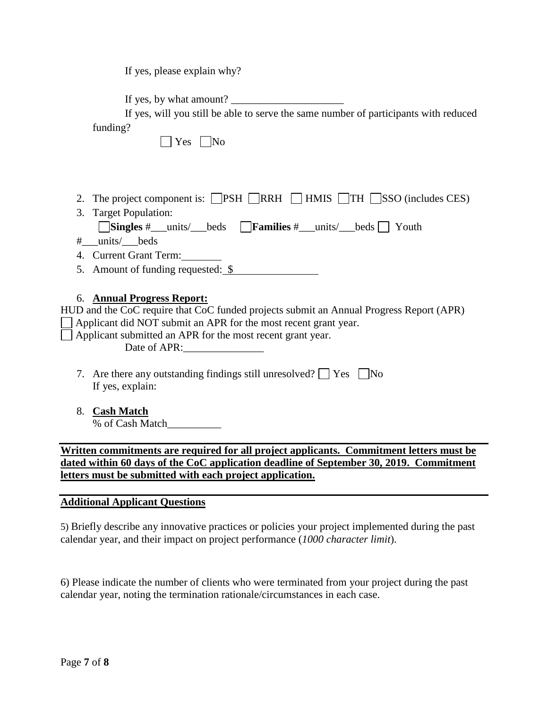If yes, please explain why?

If yes, by what amount? \_\_\_\_\_\_\_\_\_\_\_\_\_\_\_\_\_\_\_\_\_

If yes, will you still be able to serve the same number of participants with reduced  $fundina?$ 

| funding?                                                                                           |
|----------------------------------------------------------------------------------------------------|
| - INo<br>Yes                                                                                       |
|                                                                                                    |
|                                                                                                    |
| 2. The project component is: $\Box$ PSH $\Box$ RRH $\Box$ HMIS $\Box$ TH $\Box$ SSO (includes CES) |
| 3. Target Population:                                                                              |
| Singles #__units/__beds Families #__units/__beds Youth                                             |
| # units/ beds                                                                                      |
| 4. Current Grant Term:                                                                             |
| 5. Amount of funding requested: \$                                                                 |
|                                                                                                    |
| <b>Annual Progress Report:</b><br>6.                                                               |
| HUD and the CoC require that CoC funded projects submit an Annual Progress Report (APR)            |
| Applicant did NOT submit an APR for the most recent grant year.                                    |
| Applicant submitted an APR for the most recent grant year.                                         |
| Date of APR:                                                                                       |
| 7. Are there any outstanding findings still unresolved? $\Box$ Yes $\Box$ No                       |
| If yes, explain:                                                                                   |
|                                                                                                    |
| <b>Cash Match</b><br>8.                                                                            |
| % of Cash Match                                                                                    |

**Written commitments are required for all project applicants. Commitment letters must be dated within 60 days of the CoC application deadline of September 30, 2019. Commitment letters must be submitted with each project application.** 

### **Additional Applicant Questions**

5) Briefly describe any innovative practices or policies your project implemented during the past calendar year, and their impact on project performance (*1000 character limit*).

6) Please indicate the number of clients who were terminated from your project during the past calendar year, noting the termination rationale/circumstances in each case.